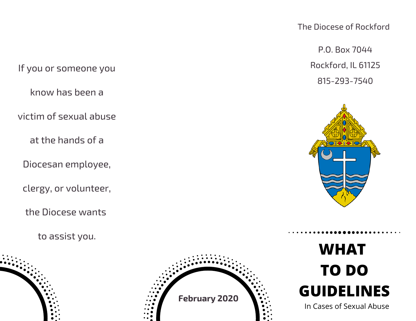The Diocese of Rockford

P.O. Box 7044 Rockford, IL 61125 815-293-7540



## **WHAT TO DO GUIDELINES**

In Cases of Sexual Abuse

If you or someone you

know has been a

victim of sexual abuse

at the hands of a

Diocesan employee,

clergy, or volunteer,

the Diocese wants

to assist you.